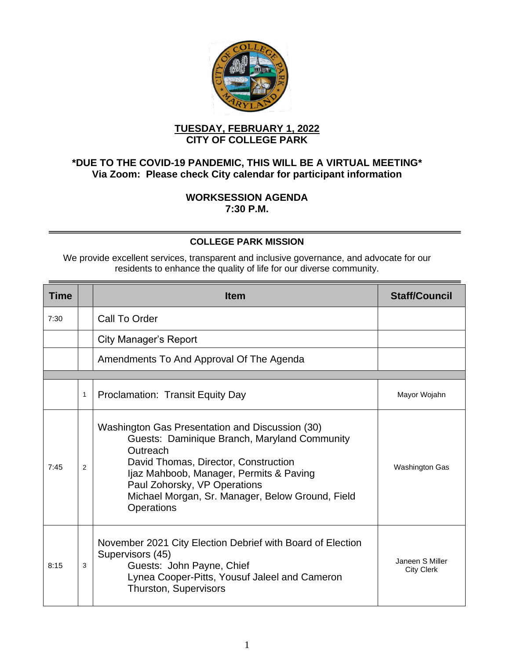

## **TUESDAY, FEBRUARY 1, 2022 CITY OF COLLEGE PARK**

## **\*DUE TO THE COVID-19 PANDEMIC, THIS WILL BE A VIRTUAL MEETING\* Via Zoom: Please check City calendar for participant information**

## **WORKSESSION AGENDA 7:30 P.M.**

## **COLLEGE PARK MISSION**

We provide excellent services, transparent and inclusive governance, and advocate for our residents to enhance the quality of life for our diverse community.

| Time |   | <b>Item</b>                                                                                                                                                                                                                                                                                             | <b>Staff/Council</b>                 |
|------|---|---------------------------------------------------------------------------------------------------------------------------------------------------------------------------------------------------------------------------------------------------------------------------------------------------------|--------------------------------------|
| 7:30 |   | Call To Order                                                                                                                                                                                                                                                                                           |                                      |
|      |   | <b>City Manager's Report</b>                                                                                                                                                                                                                                                                            |                                      |
|      |   | Amendments To And Approval Of The Agenda                                                                                                                                                                                                                                                                |                                      |
|      |   |                                                                                                                                                                                                                                                                                                         |                                      |
|      | 1 | <b>Proclamation: Transit Equity Day</b>                                                                                                                                                                                                                                                                 | Mayor Wojahn                         |
| 7:45 | 2 | Washington Gas Presentation and Discussion (30)<br>Guests: Daminique Branch, Maryland Community<br>Outreach<br>David Thomas, Director, Construction<br>Ijaz Mahboob, Manager, Permits & Paving<br>Paul Zohorsky, VP Operations<br>Michael Morgan, Sr. Manager, Below Ground, Field<br><b>Operations</b> | Washington Gas                       |
| 8:15 | 3 | November 2021 City Election Debrief with Board of Election<br>Supervisors (45)<br>Guests: John Payne, Chief<br>Lynea Cooper-Pitts, Yousuf Jaleel and Cameron<br><b>Thurston, Supervisors</b>                                                                                                            | Janeen S Miller<br><b>City Clerk</b> |